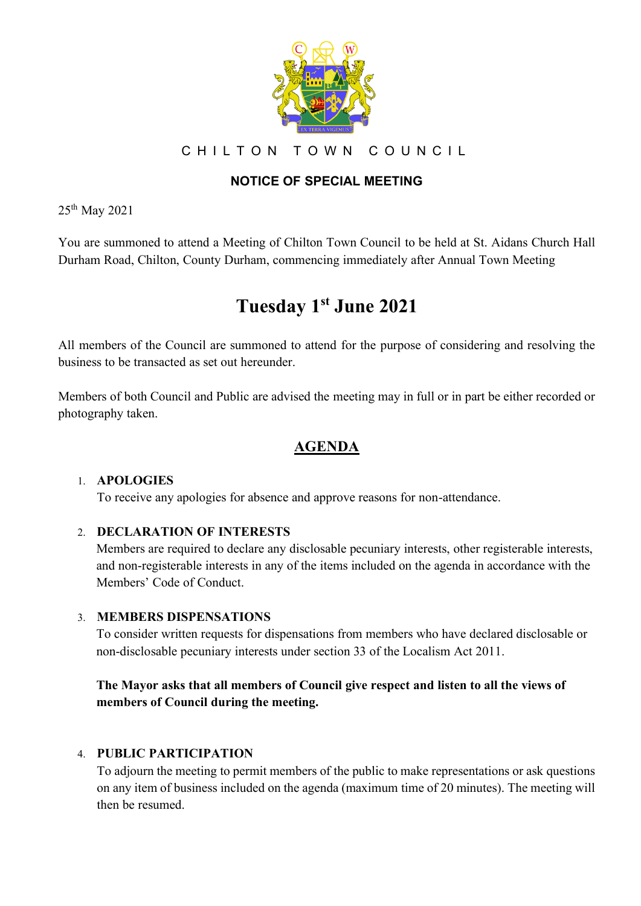

CHILTON TOWN COUNCIL

# **NOTICE OF SPECIAL MEETING**

25th May 2021

You are summoned to attend a Meeting of Chilton Town Council to be held at St. Aidans Church Hall Durham Road, Chilton, County Durham, commencing immediately after Annual Town Meeting

# **Tuesday 1 st June 2021**

All members of the Council are summoned to attend for the purpose of considering and resolving the business to be transacted as set out hereunder.

Members of both Council and Public are advised the meeting may in full or in part be either recorded or photography taken.

# **AGENDA**

### 1. **APOLOGIES**

To receive any apologies for absence and approve reasons for non-attendance.

### 2. **DECLARATION OF INTERESTS**

Members are required to declare any disclosable pecuniary interests, other registerable interests, and non-registerable interests in any of the items included on the agenda in accordance with the Members' Code of Conduct.

### 3. **MEMBERS DISPENSATIONS**

To consider written requests for dispensations from members who have declared disclosable or non-disclosable pecuniary interests under section 33 of the Localism Act 2011.

# **The Mayor asks that all members of Council give respect and listen to all the views of members of Council during the meeting.**

### 4. **PUBLIC PARTICIPATION**

To adjourn the meeting to permit members of the public to make representations or ask questions on any item of business included on the agenda (maximum time of 20 minutes). The meeting will then be resumed.